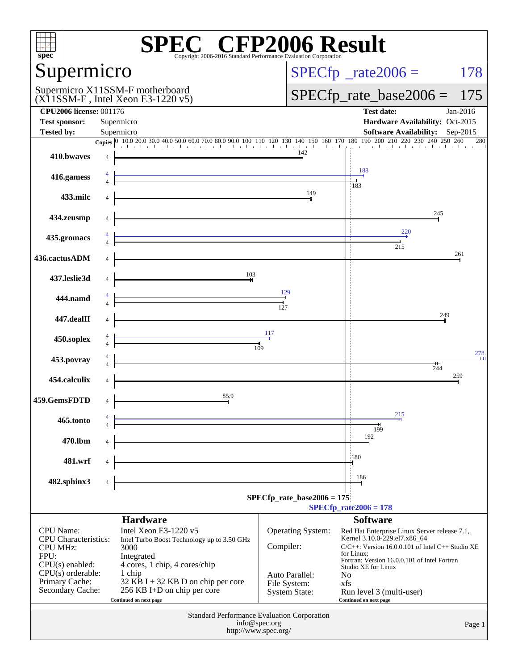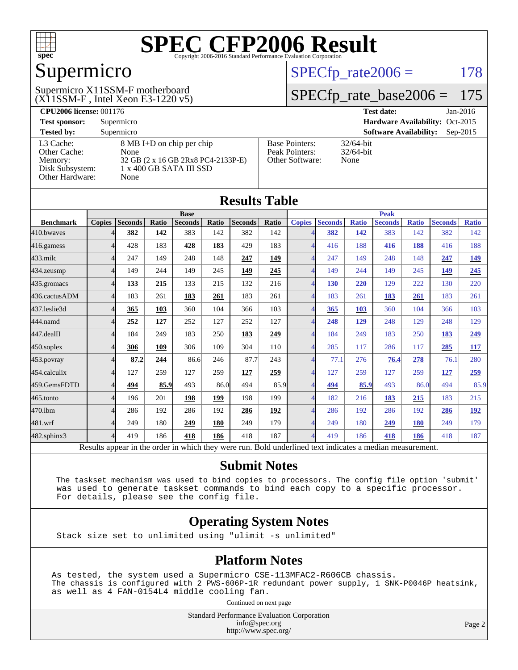

## Supermicro

#### $(X11SSM-F$ , Intel Xeon E3-1220 v5) Supermicro X11SSM-F motherboard

 $SPECTp_rate2006 = 178$ 

#### [SPECfp\\_rate\\_base2006 =](http://www.spec.org/auto/cpu2006/Docs/result-fields.html#SPECfpratebase2006) 175

| <b>CPU2006 license: 001176</b> |                                    |                       | <b>Test date:</b><br>$Jan-2016$             |
|--------------------------------|------------------------------------|-----------------------|---------------------------------------------|
| <b>Test sponsor:</b>           | Supermicro                         |                       | Hardware Availability: Oct-2015             |
| <b>Tested by:</b>              | Supermicro                         |                       | <b>Software Availability:</b><br>$Sep-2015$ |
| L3 Cache:                      | 8 MB I+D on chip per chip          | <b>Base Pointers:</b> | $32/64$ -bit                                |
| Other Cache:                   | None                               | Peak Pointers:        | $32/64$ -bit                                |
| Memory:                        | 32 GB (2 x 16 GB 2Rx8 PC4-2133P-E) | Other Software:       | None                                        |
| Disk Subsystem:                | 1 x 400 GB SATA III SSD            |                       |                                             |
| Other Hardware:                | None                               |                       |                                             |

**[Results Table](http://www.spec.org/auto/cpu2006/Docs/result-fields.html#ResultsTable)**

| Results Table                                                                                            |               |                |       |                |       |                |              |                          |                |              |                |              |                |              |
|----------------------------------------------------------------------------------------------------------|---------------|----------------|-------|----------------|-------|----------------|--------------|--------------------------|----------------|--------------|----------------|--------------|----------------|--------------|
|                                                                                                          |               |                |       | <b>Base</b>    |       |                |              |                          |                |              | <b>Peak</b>    |              |                |              |
| <b>Benchmark</b>                                                                                         | <b>Copies</b> | <b>Seconds</b> | Ratio | <b>Seconds</b> | Ratio | <b>Seconds</b> | <b>Ratio</b> | <b>Copies</b>            | <b>Seconds</b> | <b>Ratio</b> | <b>Seconds</b> | <b>Ratio</b> | <b>Seconds</b> | <b>Ratio</b> |
| 410.bwaves                                                                                               |               | 382            | 142   | 383            | 142   | 382            | 142          |                          | 382            | 142          | 383            | 142          | 382            | 142          |
| 416.gamess                                                                                               | 4             | 428            | 183   | 428            | 183   | 429            | 183          | $\overline{4}$           | 416            | 188          | 416            | 188          | 416            | 188          |
| $433$ .milc                                                                                              | 4             | 247            | 149   | 248            | 148   | 247            | 149          |                          | 247            | 149          | 248            | 148          | 247            | <u>149</u>   |
| 434.zeusmp                                                                                               | 4             | 149            | 244   | 149            | 245   | 149            | 245          | 4                        | 149            | 244          | 149            | 245          | 149            | 245          |
| 435.gromacs                                                                                              | 4             | 133            | 215   | 133            | 215   | 132            | 216          | $\overline{\mathcal{A}}$ | 130            | 220          | 129            | 222          | 130            | 220          |
| 436.cactusADM                                                                                            | 4             | 183            | 261   | 183            | 261   | 183            | 261          | $\overline{4}$           | 183            | 261          | 183            | 261          | 183            | 261          |
| 437.leslie3d                                                                                             | 4             | 365            | 103   | 360            | 104   | 366            | 103          | 4                        | 365            | <b>103</b>   | 360            | 104          | 366            | 103          |
| 444.namd                                                                                                 | 4             | 252            | 127   | 252            | 127   | 252            | 127          |                          | 248            | 129          | 248            | 129          | 248            | 129          |
| 447.dealII                                                                                               |               | 184            | 249   | 183            | 250   | 183            | 249          | $\overline{\Lambda}$     | 184            | 249          | 183            | 250          | 183            | 249          |
| 450.soplex                                                                                               | Δ             | 306            | 109   | 306            | 109   | 304            | 110          | $\overline{\Lambda}$     | 285            | 117          | 286            | 117          | 285            | 117          |
| 453.povray                                                                                               | 4             | 87.2           | 244   | 86.6           | 246   | 87.7           | 243          | $\overline{\mathcal{A}}$ | 77.1           | 276          | 76.4           | 278          | 76.1           | 280          |
| 454.calculix                                                                                             | 4             | 127            | 259   | 127            | 259   | 127            | 259          | $\overline{\mathcal{A}}$ | 127            | 259          | 127            | 259          | <u>127</u>     | 259          |
| 459.GemsFDTD                                                                                             | 4             | 494            | 85.9  | 493            | 86.0  | 494            | 85.9         | $\Delta$                 | 494            | 85.9         | 493            | 86.0         | 494            | 85.9         |
| 465.tonto                                                                                                | 4             | 196            | 201   | 198            | 199   | 198            | 199          | $\overline{\mathcal{A}}$ | 182            | 216          | 183            | 215          | 183            | 215          |
| 470.1bm                                                                                                  | 4             | 286            | 192   | 286            | 192   | 286            | 192          | $\overline{4}$           | 286            | 192          | 286            | 192          | 286            | <u>192</u>   |
| 481.wrf                                                                                                  | 4             | 249            | 180   | 249            | 180   | 249            | 179          |                          | 249            | 180          | 249            | 180          | 249            | 179          |
| $482$ .sphinx $3$                                                                                        | 4             | 419            | 186   | 418            | 186   | 418            | 187          | $\overline{4}$           | 419            | 186          | 418            | 186          | 418            | 187          |
| Results appear in the order in which they were run. Bold underlined text indicates a median measurement. |               |                |       |                |       |                |              |                          |                |              |                |              |                |              |

#### **[Submit Notes](http://www.spec.org/auto/cpu2006/Docs/result-fields.html#SubmitNotes)**

 The taskset mechanism was used to bind copies to processors. The config file option 'submit' was used to generate taskset commands to bind each copy to a specific processor. For details, please see the config file.

#### **[Operating System Notes](http://www.spec.org/auto/cpu2006/Docs/result-fields.html#OperatingSystemNotes)**

Stack size set to unlimited using "ulimit -s unlimited"

#### **[Platform Notes](http://www.spec.org/auto/cpu2006/Docs/result-fields.html#PlatformNotes)**

As tested, the system used a Supermicro CSE-113MFAC2-R606CB chassis. The chassis is configured with 2 PWS-606P-1R redundant power supply, 1 SNK-P0046P heatsink, as well as 4 FAN-0154L4 middle cooling fan.

Continued on next page

Standard Performance Evaluation Corporation [info@spec.org](mailto:info@spec.org) <http://www.spec.org/>

Page 2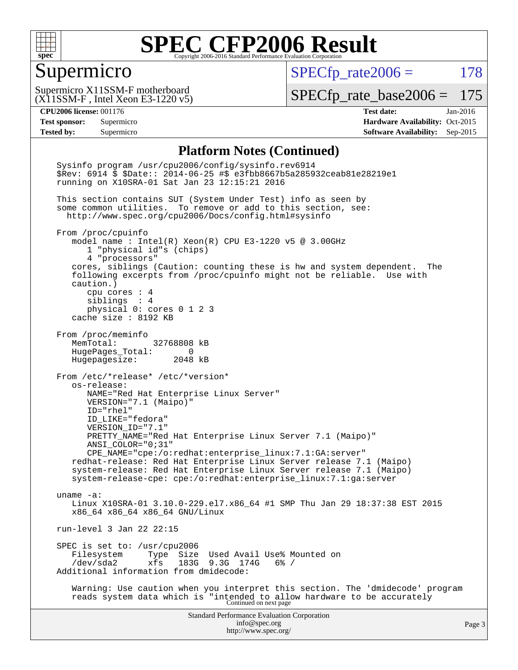

#### Supermicro

 $SPECTp_rate2006 = 178$ 

(X11SSM-F , Intel Xeon E3-1220 v5) Supermicro X11SSM-F motherboard

[SPECfp\\_rate\\_base2006 =](http://www.spec.org/auto/cpu2006/Docs/result-fields.html#SPECfpratebase2006) 175

**[CPU2006 license:](http://www.spec.org/auto/cpu2006/Docs/result-fields.html#CPU2006license)** 001176 **[Test date:](http://www.spec.org/auto/cpu2006/Docs/result-fields.html#Testdate)** Jan-2016 **[Test sponsor:](http://www.spec.org/auto/cpu2006/Docs/result-fields.html#Testsponsor)** Supermicro Supermicro **[Hardware Availability:](http://www.spec.org/auto/cpu2006/Docs/result-fields.html#HardwareAvailability)** Oct-2015 **[Tested by:](http://www.spec.org/auto/cpu2006/Docs/result-fields.html#Testedby)** Supermicro **Supermicro [Software Availability:](http://www.spec.org/auto/cpu2006/Docs/result-fields.html#SoftwareAvailability)** Sep-2015

#### **[Platform Notes \(Continued\)](http://www.spec.org/auto/cpu2006/Docs/result-fields.html#PlatformNotes)**

Standard Performance Evaluation Corporation [info@spec.org](mailto:info@spec.org) <http://www.spec.org/> Page 3 Sysinfo program /usr/cpu2006/config/sysinfo.rev6914 \$Rev: 6914 \$ \$Date:: 2014-06-25 #\$ e3fbb8667b5a285932ceab81e28219e1 running on X10SRA-01 Sat Jan 23 12:15:21 2016 This section contains SUT (System Under Test) info as seen by some common utilities. To remove or add to this section, see: <http://www.spec.org/cpu2006/Docs/config.html#sysinfo> From /proc/cpuinfo model name : Intel(R) Xeon(R) CPU E3-1220 v5 @ 3.00GHz 1 "physical id"s (chips) 4 "processors" cores, siblings (Caution: counting these is hw and system dependent. The following excerpts from /proc/cpuinfo might not be reliable. Use with caution.) cpu cores : 4 siblings : 4 physical 0: cores 0 1 2 3 cache size : 8192 KB From /proc/meminfo MemTotal: 32768808 kB HugePages\_Total: 0 Hugepagesize: 2048 kB From /etc/\*release\* /etc/\*version\* os-release: NAME="Red Hat Enterprise Linux Server" VERSION="7.1 (Maipo)" ID="rhel" ID\_LIKE="fedora" VERSION\_ID="7.1" PRETTY\_NAME="Red Hat Enterprise Linux Server 7.1 (Maipo)" ANSI\_COLOR="0;31" CPE\_NAME="cpe:/o:redhat:enterprise\_linux:7.1:GA:server" redhat-release: Red Hat Enterprise Linux Server release 7.1 (Maipo) system-release: Red Hat Enterprise Linux Server release 7.1 (Maipo) system-release-cpe: cpe:/o:redhat:enterprise\_linux:7.1:ga:server uname -a: Linux X10SRA-01 3.10.0-229.el7.x86\_64 #1 SMP Thu Jan 29 18:37:38 EST 2015 x86\_64 x86\_64 x86\_64 GNU/Linux run-level 3 Jan 22 22:15 SPEC is set to: /usr/cpu2006<br>Filesystem Type Size Filesystem Type Size Used Avail Use% Mounted on<br>/dev/sda2 xfs 183G 9.3G 174G 6% / xfs 183G 9.3G 174G 6% / Additional information from dmidecode: Warning: Use caution when you interpret this section. The 'dmidecode' program reads system data which is "intended to allow hardware to be accurately Continued on next page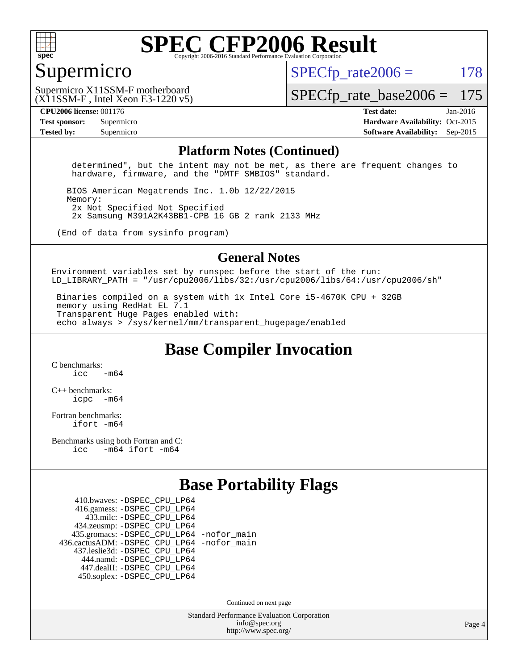

#### Supermicro

 $SPECTp\_rate2006 = 178$ 

(X11SSM-F , Intel Xeon E3-1220 v5) Supermicro X11SSM-F motherboard

[SPECfp\\_rate\\_base2006 =](http://www.spec.org/auto/cpu2006/Docs/result-fields.html#SPECfpratebase2006) 175

**[CPU2006 license:](http://www.spec.org/auto/cpu2006/Docs/result-fields.html#CPU2006license)** 001176 **[Test date:](http://www.spec.org/auto/cpu2006/Docs/result-fields.html#Testdate)** Jan-2016 **[Test sponsor:](http://www.spec.org/auto/cpu2006/Docs/result-fields.html#Testsponsor)** Supermicro Supermicro **[Hardware Availability:](http://www.spec.org/auto/cpu2006/Docs/result-fields.html#HardwareAvailability)** Oct-2015 **[Tested by:](http://www.spec.org/auto/cpu2006/Docs/result-fields.html#Testedby)** Supermicro **Supermicro [Software Availability:](http://www.spec.org/auto/cpu2006/Docs/result-fields.html#SoftwareAvailability)** Sep-2015

#### **[Platform Notes \(Continued\)](http://www.spec.org/auto/cpu2006/Docs/result-fields.html#PlatformNotes)**

 determined", but the intent may not be met, as there are frequent changes to hardware, firmware, and the "DMTF SMBIOS" standard.

 BIOS American Megatrends Inc. 1.0b 12/22/2015 Memory: 2x Not Specified Not Specified 2x Samsung M391A2K43BB1-CPB 16 GB 2 rank 2133 MHz

(End of data from sysinfo program)

#### **[General Notes](http://www.spec.org/auto/cpu2006/Docs/result-fields.html#GeneralNotes)**

Environment variables set by runspec before the start of the run: LD LIBRARY\_PATH = "/usr/cpu2006/libs/32:/usr/cpu2006/libs/64:/usr/cpu2006/sh"

 Binaries compiled on a system with 1x Intel Core i5-4670K CPU + 32GB memory using RedHat EL 7.1 Transparent Huge Pages enabled with: echo always > /sys/kernel/mm/transparent\_hugepage/enabled

**[Base Compiler Invocation](http://www.spec.org/auto/cpu2006/Docs/result-fields.html#BaseCompilerInvocation)**

[C benchmarks](http://www.spec.org/auto/cpu2006/Docs/result-fields.html#Cbenchmarks):  $icc$   $-m64$ 

[C++ benchmarks:](http://www.spec.org/auto/cpu2006/Docs/result-fields.html#CXXbenchmarks) [icpc -m64](http://www.spec.org/cpu2006/results/res2016q1/cpu2006-20160125-38774.flags.html#user_CXXbase_intel_icpc_64bit_bedb90c1146cab66620883ef4f41a67e)

[Fortran benchmarks](http://www.spec.org/auto/cpu2006/Docs/result-fields.html#Fortranbenchmarks): [ifort -m64](http://www.spec.org/cpu2006/results/res2016q1/cpu2006-20160125-38774.flags.html#user_FCbase_intel_ifort_64bit_ee9d0fb25645d0210d97eb0527dcc06e)

[Benchmarks using both Fortran and C](http://www.spec.org/auto/cpu2006/Docs/result-fields.html#BenchmarksusingbothFortranandC): [icc -m64](http://www.spec.org/cpu2006/results/res2016q1/cpu2006-20160125-38774.flags.html#user_CC_FCbase_intel_icc_64bit_0b7121f5ab7cfabee23d88897260401c) [ifort -m64](http://www.spec.org/cpu2006/results/res2016q1/cpu2006-20160125-38774.flags.html#user_CC_FCbase_intel_ifort_64bit_ee9d0fb25645d0210d97eb0527dcc06e)

### **[Base Portability Flags](http://www.spec.org/auto/cpu2006/Docs/result-fields.html#BasePortabilityFlags)**

 410.bwaves: [-DSPEC\\_CPU\\_LP64](http://www.spec.org/cpu2006/results/res2016q1/cpu2006-20160125-38774.flags.html#suite_basePORTABILITY410_bwaves_DSPEC_CPU_LP64) 416.gamess: [-DSPEC\\_CPU\\_LP64](http://www.spec.org/cpu2006/results/res2016q1/cpu2006-20160125-38774.flags.html#suite_basePORTABILITY416_gamess_DSPEC_CPU_LP64) 433.milc: [-DSPEC\\_CPU\\_LP64](http://www.spec.org/cpu2006/results/res2016q1/cpu2006-20160125-38774.flags.html#suite_basePORTABILITY433_milc_DSPEC_CPU_LP64) 434.zeusmp: [-DSPEC\\_CPU\\_LP64](http://www.spec.org/cpu2006/results/res2016q1/cpu2006-20160125-38774.flags.html#suite_basePORTABILITY434_zeusmp_DSPEC_CPU_LP64) 435.gromacs: [-DSPEC\\_CPU\\_LP64](http://www.spec.org/cpu2006/results/res2016q1/cpu2006-20160125-38774.flags.html#suite_basePORTABILITY435_gromacs_DSPEC_CPU_LP64) [-nofor\\_main](http://www.spec.org/cpu2006/results/res2016q1/cpu2006-20160125-38774.flags.html#user_baseLDPORTABILITY435_gromacs_f-nofor_main) 436.cactusADM: [-DSPEC\\_CPU\\_LP64](http://www.spec.org/cpu2006/results/res2016q1/cpu2006-20160125-38774.flags.html#suite_basePORTABILITY436_cactusADM_DSPEC_CPU_LP64) [-nofor\\_main](http://www.spec.org/cpu2006/results/res2016q1/cpu2006-20160125-38774.flags.html#user_baseLDPORTABILITY436_cactusADM_f-nofor_main) 437.leslie3d: [-DSPEC\\_CPU\\_LP64](http://www.spec.org/cpu2006/results/res2016q1/cpu2006-20160125-38774.flags.html#suite_basePORTABILITY437_leslie3d_DSPEC_CPU_LP64) 444.namd: [-DSPEC\\_CPU\\_LP64](http://www.spec.org/cpu2006/results/res2016q1/cpu2006-20160125-38774.flags.html#suite_basePORTABILITY444_namd_DSPEC_CPU_LP64) 447.dealII: [-DSPEC\\_CPU\\_LP64](http://www.spec.org/cpu2006/results/res2016q1/cpu2006-20160125-38774.flags.html#suite_basePORTABILITY447_dealII_DSPEC_CPU_LP64) 450.soplex: [-DSPEC\\_CPU\\_LP64](http://www.spec.org/cpu2006/results/res2016q1/cpu2006-20160125-38774.flags.html#suite_basePORTABILITY450_soplex_DSPEC_CPU_LP64)

Continued on next page

Standard Performance Evaluation Corporation [info@spec.org](mailto:info@spec.org) <http://www.spec.org/>

Page 4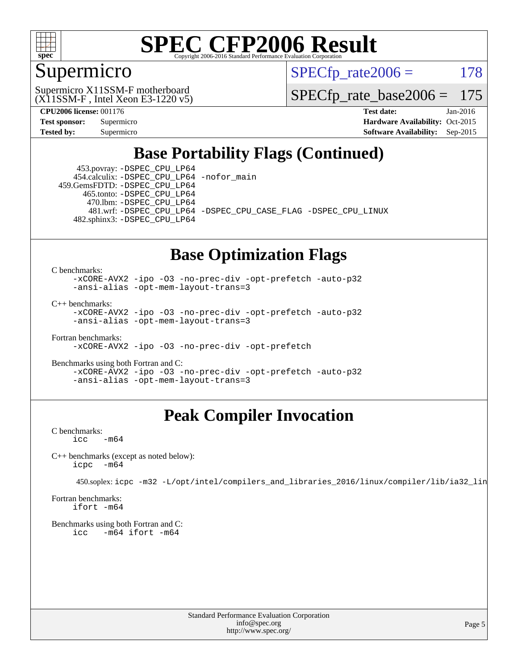

### Supermicro

 $SPECTp\_rate2006 = 178$ 

(X11SSM-F , Intel Xeon E3-1220 v5) Supermicro X11SSM-F motherboard

[SPECfp\\_rate\\_base2006 =](http://www.spec.org/auto/cpu2006/Docs/result-fields.html#SPECfpratebase2006) 175

**[CPU2006 license:](http://www.spec.org/auto/cpu2006/Docs/result-fields.html#CPU2006license)** 001176 **[Test date:](http://www.spec.org/auto/cpu2006/Docs/result-fields.html#Testdate)** Jan-2016 **[Test sponsor:](http://www.spec.org/auto/cpu2006/Docs/result-fields.html#Testsponsor)** Supermicro Supermicro **[Hardware Availability:](http://www.spec.org/auto/cpu2006/Docs/result-fields.html#HardwareAvailability)** Oct-2015 **[Tested by:](http://www.spec.org/auto/cpu2006/Docs/result-fields.html#Testedby)** Supermicro **Supermicro [Software Availability:](http://www.spec.org/auto/cpu2006/Docs/result-fields.html#SoftwareAvailability)** Sep-2015

### **[Base Portability Flags \(Continued\)](http://www.spec.org/auto/cpu2006/Docs/result-fields.html#BasePortabilityFlags)**

 453.povray: [-DSPEC\\_CPU\\_LP64](http://www.spec.org/cpu2006/results/res2016q1/cpu2006-20160125-38774.flags.html#suite_basePORTABILITY453_povray_DSPEC_CPU_LP64) 454.calculix: [-DSPEC\\_CPU\\_LP64](http://www.spec.org/cpu2006/results/res2016q1/cpu2006-20160125-38774.flags.html#suite_basePORTABILITY454_calculix_DSPEC_CPU_LP64) [-nofor\\_main](http://www.spec.org/cpu2006/results/res2016q1/cpu2006-20160125-38774.flags.html#user_baseLDPORTABILITY454_calculix_f-nofor_main) 459.GemsFDTD: [-DSPEC\\_CPU\\_LP64](http://www.spec.org/cpu2006/results/res2016q1/cpu2006-20160125-38774.flags.html#suite_basePORTABILITY459_GemsFDTD_DSPEC_CPU_LP64)

 465.tonto: [-DSPEC\\_CPU\\_LP64](http://www.spec.org/cpu2006/results/res2016q1/cpu2006-20160125-38774.flags.html#suite_basePORTABILITY465_tonto_DSPEC_CPU_LP64) 470.lbm: [-DSPEC\\_CPU\\_LP64](http://www.spec.org/cpu2006/results/res2016q1/cpu2006-20160125-38774.flags.html#suite_basePORTABILITY470_lbm_DSPEC_CPU_LP64)

 481.wrf: [-DSPEC\\_CPU\\_LP64](http://www.spec.org/cpu2006/results/res2016q1/cpu2006-20160125-38774.flags.html#suite_basePORTABILITY481_wrf_DSPEC_CPU_LP64) [-DSPEC\\_CPU\\_CASE\\_FLAG](http://www.spec.org/cpu2006/results/res2016q1/cpu2006-20160125-38774.flags.html#b481.wrf_baseCPORTABILITY_DSPEC_CPU_CASE_FLAG) [-DSPEC\\_CPU\\_LINUX](http://www.spec.org/cpu2006/results/res2016q1/cpu2006-20160125-38774.flags.html#b481.wrf_baseCPORTABILITY_DSPEC_CPU_LINUX) 482.sphinx3: [-DSPEC\\_CPU\\_LP64](http://www.spec.org/cpu2006/results/res2016q1/cpu2006-20160125-38774.flags.html#suite_basePORTABILITY482_sphinx3_DSPEC_CPU_LP64)

#### **[Base Optimization Flags](http://www.spec.org/auto/cpu2006/Docs/result-fields.html#BaseOptimizationFlags)**

[C benchmarks](http://www.spec.org/auto/cpu2006/Docs/result-fields.html#Cbenchmarks):

[-xCORE-AVX2](http://www.spec.org/cpu2006/results/res2016q1/cpu2006-20160125-38774.flags.html#user_CCbase_f-xAVX2_5f5fc0cbe2c9f62c816d3e45806c70d7) [-ipo](http://www.spec.org/cpu2006/results/res2016q1/cpu2006-20160125-38774.flags.html#user_CCbase_f-ipo) [-O3](http://www.spec.org/cpu2006/results/res2016q1/cpu2006-20160125-38774.flags.html#user_CCbase_f-O3) [-no-prec-div](http://www.spec.org/cpu2006/results/res2016q1/cpu2006-20160125-38774.flags.html#user_CCbase_f-no-prec-div) [-opt-prefetch](http://www.spec.org/cpu2006/results/res2016q1/cpu2006-20160125-38774.flags.html#user_CCbase_f-opt-prefetch) [-auto-p32](http://www.spec.org/cpu2006/results/res2016q1/cpu2006-20160125-38774.flags.html#user_CCbase_f-auto-p32) [-ansi-alias](http://www.spec.org/cpu2006/results/res2016q1/cpu2006-20160125-38774.flags.html#user_CCbase_f-ansi-alias) [-opt-mem-layout-trans=3](http://www.spec.org/cpu2006/results/res2016q1/cpu2006-20160125-38774.flags.html#user_CCbase_f-opt-mem-layout-trans_a7b82ad4bd7abf52556d4961a2ae94d5)

[C++ benchmarks:](http://www.spec.org/auto/cpu2006/Docs/result-fields.html#CXXbenchmarks)

[-xCORE-AVX2](http://www.spec.org/cpu2006/results/res2016q1/cpu2006-20160125-38774.flags.html#user_CXXbase_f-xAVX2_5f5fc0cbe2c9f62c816d3e45806c70d7) [-ipo](http://www.spec.org/cpu2006/results/res2016q1/cpu2006-20160125-38774.flags.html#user_CXXbase_f-ipo) [-O3](http://www.spec.org/cpu2006/results/res2016q1/cpu2006-20160125-38774.flags.html#user_CXXbase_f-O3) [-no-prec-div](http://www.spec.org/cpu2006/results/res2016q1/cpu2006-20160125-38774.flags.html#user_CXXbase_f-no-prec-div) [-opt-prefetch](http://www.spec.org/cpu2006/results/res2016q1/cpu2006-20160125-38774.flags.html#user_CXXbase_f-opt-prefetch) [-auto-p32](http://www.spec.org/cpu2006/results/res2016q1/cpu2006-20160125-38774.flags.html#user_CXXbase_f-auto-p32) [-ansi-alias](http://www.spec.org/cpu2006/results/res2016q1/cpu2006-20160125-38774.flags.html#user_CXXbase_f-ansi-alias) [-opt-mem-layout-trans=3](http://www.spec.org/cpu2006/results/res2016q1/cpu2006-20160125-38774.flags.html#user_CXXbase_f-opt-mem-layout-trans_a7b82ad4bd7abf52556d4961a2ae94d5)

[Fortran benchmarks](http://www.spec.org/auto/cpu2006/Docs/result-fields.html#Fortranbenchmarks): [-xCORE-AVX2](http://www.spec.org/cpu2006/results/res2016q1/cpu2006-20160125-38774.flags.html#user_FCbase_f-xAVX2_5f5fc0cbe2c9f62c816d3e45806c70d7) [-ipo](http://www.spec.org/cpu2006/results/res2016q1/cpu2006-20160125-38774.flags.html#user_FCbase_f-ipo) [-O3](http://www.spec.org/cpu2006/results/res2016q1/cpu2006-20160125-38774.flags.html#user_FCbase_f-O3) [-no-prec-div](http://www.spec.org/cpu2006/results/res2016q1/cpu2006-20160125-38774.flags.html#user_FCbase_f-no-prec-div) [-opt-prefetch](http://www.spec.org/cpu2006/results/res2016q1/cpu2006-20160125-38774.flags.html#user_FCbase_f-opt-prefetch)

[Benchmarks using both Fortran and C](http://www.spec.org/auto/cpu2006/Docs/result-fields.html#BenchmarksusingbothFortranandC): [-xCORE-AVX2](http://www.spec.org/cpu2006/results/res2016q1/cpu2006-20160125-38774.flags.html#user_CC_FCbase_f-xAVX2_5f5fc0cbe2c9f62c816d3e45806c70d7) [-ipo](http://www.spec.org/cpu2006/results/res2016q1/cpu2006-20160125-38774.flags.html#user_CC_FCbase_f-ipo) [-O3](http://www.spec.org/cpu2006/results/res2016q1/cpu2006-20160125-38774.flags.html#user_CC_FCbase_f-O3) [-no-prec-div](http://www.spec.org/cpu2006/results/res2016q1/cpu2006-20160125-38774.flags.html#user_CC_FCbase_f-no-prec-div) [-opt-prefetch](http://www.spec.org/cpu2006/results/res2016q1/cpu2006-20160125-38774.flags.html#user_CC_FCbase_f-opt-prefetch) [-auto-p32](http://www.spec.org/cpu2006/results/res2016q1/cpu2006-20160125-38774.flags.html#user_CC_FCbase_f-auto-p32) [-ansi-alias](http://www.spec.org/cpu2006/results/res2016q1/cpu2006-20160125-38774.flags.html#user_CC_FCbase_f-ansi-alias) [-opt-mem-layout-trans=3](http://www.spec.org/cpu2006/results/res2016q1/cpu2006-20160125-38774.flags.html#user_CC_FCbase_f-opt-mem-layout-trans_a7b82ad4bd7abf52556d4961a2ae94d5)

### **[Peak Compiler Invocation](http://www.spec.org/auto/cpu2006/Docs/result-fields.html#PeakCompilerInvocation)**

[C benchmarks](http://www.spec.org/auto/cpu2006/Docs/result-fields.html#Cbenchmarks):  $\text{icc}$   $-\text{m64}$ 

[C++ benchmarks \(except as noted below\):](http://www.spec.org/auto/cpu2006/Docs/result-fields.html#CXXbenchmarksexceptasnotedbelow) [icpc -m64](http://www.spec.org/cpu2006/results/res2016q1/cpu2006-20160125-38774.flags.html#user_CXXpeak_intel_icpc_64bit_bedb90c1146cab66620883ef4f41a67e)

450.soplex: [icpc -m32 -L/opt/intel/compilers\\_and\\_libraries\\_2016/linux/compiler/lib/ia32\\_lin](http://www.spec.org/cpu2006/results/res2016q1/cpu2006-20160125-38774.flags.html#user_peakCXXLD450_soplex_intel_icpc_b4f50a394bdb4597aa5879c16bc3f5c5)

[Fortran benchmarks](http://www.spec.org/auto/cpu2006/Docs/result-fields.html#Fortranbenchmarks): [ifort -m64](http://www.spec.org/cpu2006/results/res2016q1/cpu2006-20160125-38774.flags.html#user_FCpeak_intel_ifort_64bit_ee9d0fb25645d0210d97eb0527dcc06e)

[Benchmarks using both Fortran and C](http://www.spec.org/auto/cpu2006/Docs/result-fields.html#BenchmarksusingbothFortranandC): [icc -m64](http://www.spec.org/cpu2006/results/res2016q1/cpu2006-20160125-38774.flags.html#user_CC_FCpeak_intel_icc_64bit_0b7121f5ab7cfabee23d88897260401c) [ifort -m64](http://www.spec.org/cpu2006/results/res2016q1/cpu2006-20160125-38774.flags.html#user_CC_FCpeak_intel_ifort_64bit_ee9d0fb25645d0210d97eb0527dcc06e)

> Standard Performance Evaluation Corporation [info@spec.org](mailto:info@spec.org) <http://www.spec.org/>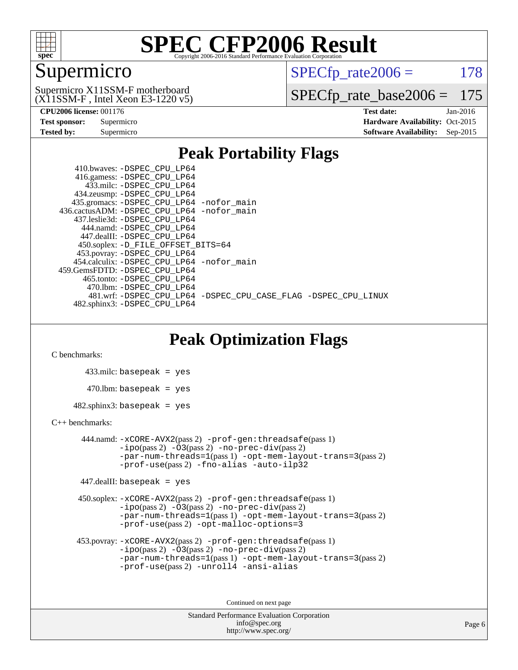

### Supermicro

 $SPECTp\_rate2006 = 178$ 

(X11SSM-F , Intel Xeon E3-1220 v5) Supermicro X11SSM-F motherboard

[SPECfp\\_rate\\_base2006 =](http://www.spec.org/auto/cpu2006/Docs/result-fields.html#SPECfpratebase2006) 175

| <b>Test sponsor:</b> | Supermicro |
|----------------------|------------|
| <b>Tested by:</b>    | Supermicro |

**[CPU2006 license:](http://www.spec.org/auto/cpu2006/Docs/result-fields.html#CPU2006license)** 001176 **[Test date:](http://www.spec.org/auto/cpu2006/Docs/result-fields.html#Testdate)** Jan-2016 **[Hardware Availability:](http://www.spec.org/auto/cpu2006/Docs/result-fields.html#HardwareAvailability)** Oct-2015 **[Software Availability:](http://www.spec.org/auto/cpu2006/Docs/result-fields.html#SoftwareAvailability)** Sep-2015

#### **[Peak Portability Flags](http://www.spec.org/auto/cpu2006/Docs/result-fields.html#PeakPortabilityFlags)**

 410.bwaves: [-DSPEC\\_CPU\\_LP64](http://www.spec.org/cpu2006/results/res2016q1/cpu2006-20160125-38774.flags.html#suite_peakPORTABILITY410_bwaves_DSPEC_CPU_LP64) 416.gamess: [-DSPEC\\_CPU\\_LP64](http://www.spec.org/cpu2006/results/res2016q1/cpu2006-20160125-38774.flags.html#suite_peakPORTABILITY416_gamess_DSPEC_CPU_LP64) 433.milc: [-DSPEC\\_CPU\\_LP64](http://www.spec.org/cpu2006/results/res2016q1/cpu2006-20160125-38774.flags.html#suite_peakPORTABILITY433_milc_DSPEC_CPU_LP64) 434.zeusmp: [-DSPEC\\_CPU\\_LP64](http://www.spec.org/cpu2006/results/res2016q1/cpu2006-20160125-38774.flags.html#suite_peakPORTABILITY434_zeusmp_DSPEC_CPU_LP64) 435.gromacs: [-DSPEC\\_CPU\\_LP64](http://www.spec.org/cpu2006/results/res2016q1/cpu2006-20160125-38774.flags.html#suite_peakPORTABILITY435_gromacs_DSPEC_CPU_LP64) [-nofor\\_main](http://www.spec.org/cpu2006/results/res2016q1/cpu2006-20160125-38774.flags.html#user_peakLDPORTABILITY435_gromacs_f-nofor_main) 436.cactusADM: [-DSPEC\\_CPU\\_LP64](http://www.spec.org/cpu2006/results/res2016q1/cpu2006-20160125-38774.flags.html#suite_peakPORTABILITY436_cactusADM_DSPEC_CPU_LP64) [-nofor\\_main](http://www.spec.org/cpu2006/results/res2016q1/cpu2006-20160125-38774.flags.html#user_peakLDPORTABILITY436_cactusADM_f-nofor_main) 437.leslie3d: [-DSPEC\\_CPU\\_LP64](http://www.spec.org/cpu2006/results/res2016q1/cpu2006-20160125-38774.flags.html#suite_peakPORTABILITY437_leslie3d_DSPEC_CPU_LP64) 444.namd: [-DSPEC\\_CPU\\_LP64](http://www.spec.org/cpu2006/results/res2016q1/cpu2006-20160125-38774.flags.html#suite_peakPORTABILITY444_namd_DSPEC_CPU_LP64) 447.dealII: [-DSPEC\\_CPU\\_LP64](http://www.spec.org/cpu2006/results/res2016q1/cpu2006-20160125-38774.flags.html#suite_peakPORTABILITY447_dealII_DSPEC_CPU_LP64) 450.soplex: [-D\\_FILE\\_OFFSET\\_BITS=64](http://www.spec.org/cpu2006/results/res2016q1/cpu2006-20160125-38774.flags.html#user_peakPORTABILITY450_soplex_file_offset_bits_64_438cf9856305ebd76870a2c6dc2689ab) 453.povray: [-DSPEC\\_CPU\\_LP64](http://www.spec.org/cpu2006/results/res2016q1/cpu2006-20160125-38774.flags.html#suite_peakPORTABILITY453_povray_DSPEC_CPU_LP64) 454.calculix: [-DSPEC\\_CPU\\_LP64](http://www.spec.org/cpu2006/results/res2016q1/cpu2006-20160125-38774.flags.html#suite_peakPORTABILITY454_calculix_DSPEC_CPU_LP64) [-nofor\\_main](http://www.spec.org/cpu2006/results/res2016q1/cpu2006-20160125-38774.flags.html#user_peakLDPORTABILITY454_calculix_f-nofor_main) 459.GemsFDTD: [-DSPEC\\_CPU\\_LP64](http://www.spec.org/cpu2006/results/res2016q1/cpu2006-20160125-38774.flags.html#suite_peakPORTABILITY459_GemsFDTD_DSPEC_CPU_LP64) 465.tonto: [-DSPEC\\_CPU\\_LP64](http://www.spec.org/cpu2006/results/res2016q1/cpu2006-20160125-38774.flags.html#suite_peakPORTABILITY465_tonto_DSPEC_CPU_LP64) 470.lbm: [-DSPEC\\_CPU\\_LP64](http://www.spec.org/cpu2006/results/res2016q1/cpu2006-20160125-38774.flags.html#suite_peakPORTABILITY470_lbm_DSPEC_CPU_LP64) 481.wrf: [-DSPEC\\_CPU\\_LP64](http://www.spec.org/cpu2006/results/res2016q1/cpu2006-20160125-38774.flags.html#suite_peakPORTABILITY481_wrf_DSPEC_CPU_LP64) [-DSPEC\\_CPU\\_CASE\\_FLAG](http://www.spec.org/cpu2006/results/res2016q1/cpu2006-20160125-38774.flags.html#b481.wrf_peakCPORTABILITY_DSPEC_CPU_CASE_FLAG) [-DSPEC\\_CPU\\_LINUX](http://www.spec.org/cpu2006/results/res2016q1/cpu2006-20160125-38774.flags.html#b481.wrf_peakCPORTABILITY_DSPEC_CPU_LINUX) 482.sphinx3: [-DSPEC\\_CPU\\_LP64](http://www.spec.org/cpu2006/results/res2016q1/cpu2006-20160125-38774.flags.html#suite_peakPORTABILITY482_sphinx3_DSPEC_CPU_LP64)

### **[Peak Optimization Flags](http://www.spec.org/auto/cpu2006/Docs/result-fields.html#PeakOptimizationFlags)**

[C benchmarks](http://www.spec.org/auto/cpu2006/Docs/result-fields.html#Cbenchmarks):

 433.milc: basepeak = yes  $470.1$ bm: basepeak = yes  $482$ .sphinx3: basepeak = yes

#### [C++ benchmarks:](http://www.spec.org/auto/cpu2006/Docs/result-fields.html#CXXbenchmarks)

 444.namd: [-xCORE-AVX2](http://www.spec.org/cpu2006/results/res2016q1/cpu2006-20160125-38774.flags.html#user_peakPASS2_CXXFLAGSPASS2_LDFLAGS444_namd_f-xAVX2_5f5fc0cbe2c9f62c816d3e45806c70d7)(pass 2) [-prof-gen:threadsafe](http://www.spec.org/cpu2006/results/res2016q1/cpu2006-20160125-38774.flags.html#user_peakPASS1_CXXFLAGSPASS1_LDFLAGS444_namd_prof_gen_21a26eb79f378b550acd7bec9fe4467a)(pass 1)  $-i\text{po}(pass 2) -03(pass 2) -no-prec-div(pass 2)$  $-i\text{po}(pass 2) -03(pass 2) -no-prec-div(pass 2)$  $-i\text{po}(pass 2) -03(pass 2) -no-prec-div(pass 2)$ [-par-num-threads=1](http://www.spec.org/cpu2006/results/res2016q1/cpu2006-20160125-38774.flags.html#user_peakPASS1_CXXFLAGSPASS1_LDFLAGS444_namd_par_num_threads_786a6ff141b4e9e90432e998842df6c2)(pass 1) [-opt-mem-layout-trans=3](http://www.spec.org/cpu2006/results/res2016q1/cpu2006-20160125-38774.flags.html#user_peakPASS2_CXXFLAGS444_namd_f-opt-mem-layout-trans_a7b82ad4bd7abf52556d4961a2ae94d5)(pass 2) [-prof-use](http://www.spec.org/cpu2006/results/res2016q1/cpu2006-20160125-38774.flags.html#user_peakPASS2_CXXFLAGSPASS2_LDFLAGS444_namd_prof_use_bccf7792157ff70d64e32fe3e1250b55)(pass 2) [-fno-alias](http://www.spec.org/cpu2006/results/res2016q1/cpu2006-20160125-38774.flags.html#user_peakCXXOPTIMIZE444_namd_f-no-alias_694e77f6c5a51e658e82ccff53a9e63a) [-auto-ilp32](http://www.spec.org/cpu2006/results/res2016q1/cpu2006-20160125-38774.flags.html#user_peakCXXOPTIMIZE444_namd_f-auto-ilp32)

447.dealII: basepeak = yes

 450.soplex: [-xCORE-AVX2](http://www.spec.org/cpu2006/results/res2016q1/cpu2006-20160125-38774.flags.html#user_peakPASS2_CXXFLAGSPASS2_LDFLAGS450_soplex_f-xAVX2_5f5fc0cbe2c9f62c816d3e45806c70d7)(pass 2) [-prof-gen:threadsafe](http://www.spec.org/cpu2006/results/res2016q1/cpu2006-20160125-38774.flags.html#user_peakPASS1_CXXFLAGSPASS1_LDFLAGS450_soplex_prof_gen_21a26eb79f378b550acd7bec9fe4467a)(pass 1)  $-i\text{po}(pass 2) -\tilde{O}3(pass 2)$  -no- $\bar{p}rec-div(pass 2)$ [-par-num-threads=1](http://www.spec.org/cpu2006/results/res2016q1/cpu2006-20160125-38774.flags.html#user_peakPASS1_CXXFLAGSPASS1_LDFLAGS450_soplex_par_num_threads_786a6ff141b4e9e90432e998842df6c2)(pass 1) [-opt-mem-layout-trans=3](http://www.spec.org/cpu2006/results/res2016q1/cpu2006-20160125-38774.flags.html#user_peakPASS2_CXXFLAGS450_soplex_f-opt-mem-layout-trans_a7b82ad4bd7abf52556d4961a2ae94d5)(pass 2) [-prof-use](http://www.spec.org/cpu2006/results/res2016q1/cpu2006-20160125-38774.flags.html#user_peakPASS2_CXXFLAGSPASS2_LDFLAGS450_soplex_prof_use_bccf7792157ff70d64e32fe3e1250b55)(pass 2) [-opt-malloc-options=3](http://www.spec.org/cpu2006/results/res2016q1/cpu2006-20160125-38774.flags.html#user_peakOPTIMIZE450_soplex_f-opt-malloc-options_13ab9b803cf986b4ee62f0a5998c2238)

```
 453.povray: -xCORE-AVX2(pass 2) -prof-gen:threadsafe(pass 1)
-no-prec-div(pass 2)-par-num-threads=1(pass 1) -opt-mem-layout-trans=3(pass 2)
-prof-use(pass 2) -unroll4 -ansi-alias
```
Continued on next page

```
Standard Performance Evaluation Corporation
      info@spec.org
   http://www.spec.org/
```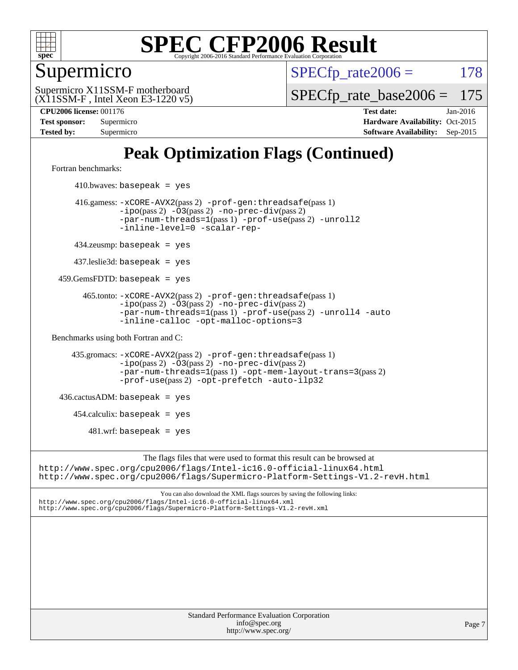

### Supermicro

 $SPECTp\_rate2006 = 178$ 

(X11SSM-F , Intel Xeon E3-1220 v5) Supermicro X11SSM-F motherboard

[SPECfp\\_rate\\_base2006 =](http://www.spec.org/auto/cpu2006/Docs/result-fields.html#SPECfpratebase2006) 175

**[CPU2006 license:](http://www.spec.org/auto/cpu2006/Docs/result-fields.html#CPU2006license)** 001176 **[Test date:](http://www.spec.org/auto/cpu2006/Docs/result-fields.html#Testdate)** Jan-2016 **[Test sponsor:](http://www.spec.org/auto/cpu2006/Docs/result-fields.html#Testsponsor)** Supermicro Supermicro **[Hardware Availability:](http://www.spec.org/auto/cpu2006/Docs/result-fields.html#HardwareAvailability)** Oct-2015 **[Tested by:](http://www.spec.org/auto/cpu2006/Docs/result-fields.html#Testedby)** Supermicro **Supermicro [Software Availability:](http://www.spec.org/auto/cpu2006/Docs/result-fields.html#SoftwareAvailability)** Sep-2015

### **[Peak Optimization Flags \(Continued\)](http://www.spec.org/auto/cpu2006/Docs/result-fields.html#PeakOptimizationFlags)**

[Fortran benchmarks](http://www.spec.org/auto/cpu2006/Docs/result-fields.html#Fortranbenchmarks):

 $410.bwaves: basepeak = yes$  416.gamess: [-xCORE-AVX2](http://www.spec.org/cpu2006/results/res2016q1/cpu2006-20160125-38774.flags.html#user_peakPASS2_FFLAGSPASS2_LDFLAGS416_gamess_f-xAVX2_5f5fc0cbe2c9f62c816d3e45806c70d7)(pass 2) [-prof-gen:threadsafe](http://www.spec.org/cpu2006/results/res2016q1/cpu2006-20160125-38774.flags.html#user_peakPASS1_FFLAGSPASS1_LDFLAGS416_gamess_prof_gen_21a26eb79f378b550acd7bec9fe4467a)(pass 1) [-ipo](http://www.spec.org/cpu2006/results/res2016q1/cpu2006-20160125-38774.flags.html#user_peakPASS2_FFLAGSPASS2_LDFLAGS416_gamess_f-ipo)(pass 2) [-O3](http://www.spec.org/cpu2006/results/res2016q1/cpu2006-20160125-38774.flags.html#user_peakPASS2_FFLAGSPASS2_LDFLAGS416_gamess_f-O3)(pass 2) [-no-prec-div](http://www.spec.org/cpu2006/results/res2016q1/cpu2006-20160125-38774.flags.html#user_peakPASS2_FFLAGSPASS2_LDFLAGS416_gamess_f-no-prec-div)(pass 2) [-par-num-threads=1](http://www.spec.org/cpu2006/results/res2016q1/cpu2006-20160125-38774.flags.html#user_peakPASS1_FFLAGSPASS1_LDFLAGS416_gamess_par_num_threads_786a6ff141b4e9e90432e998842df6c2)(pass 1) [-prof-use](http://www.spec.org/cpu2006/results/res2016q1/cpu2006-20160125-38774.flags.html#user_peakPASS2_FFLAGSPASS2_LDFLAGS416_gamess_prof_use_bccf7792157ff70d64e32fe3e1250b55)(pass 2) [-unroll2](http://www.spec.org/cpu2006/results/res2016q1/cpu2006-20160125-38774.flags.html#user_peakOPTIMIZE416_gamess_f-unroll_784dae83bebfb236979b41d2422d7ec2) [-inline-level=0](http://www.spec.org/cpu2006/results/res2016q1/cpu2006-20160125-38774.flags.html#user_peakOPTIMIZE416_gamess_f-inline-level_318d07a09274ad25e8d15dbfaa68ba50) [-scalar-rep-](http://www.spec.org/cpu2006/results/res2016q1/cpu2006-20160125-38774.flags.html#user_peakOPTIMIZE416_gamess_f-disablescalarrep_abbcad04450fb118e4809c81d83c8a1d) 434.zeusmp: basepeak = yes 437.leslie3d: basepeak = yes 459.GemsFDTD: basepeak = yes 465.tonto: [-xCORE-AVX2](http://www.spec.org/cpu2006/results/res2016q1/cpu2006-20160125-38774.flags.html#user_peakPASS2_FFLAGSPASS2_LDFLAGS465_tonto_f-xAVX2_5f5fc0cbe2c9f62c816d3e45806c70d7)(pass 2) [-prof-gen:threadsafe](http://www.spec.org/cpu2006/results/res2016q1/cpu2006-20160125-38774.flags.html#user_peakPASS1_FFLAGSPASS1_LDFLAGS465_tonto_prof_gen_21a26eb79f378b550acd7bec9fe4467a)(pass 1)  $-ipo(pass 2)$  $-ipo(pass 2)$   $-03(pass 2)$   $-no-prec-div(pass 2)$  $-no-prec-div(pass 2)$ [-par-num-threads=1](http://www.spec.org/cpu2006/results/res2016q1/cpu2006-20160125-38774.flags.html#user_peakPASS1_FFLAGSPASS1_LDFLAGS465_tonto_par_num_threads_786a6ff141b4e9e90432e998842df6c2)(pass 1) [-prof-use](http://www.spec.org/cpu2006/results/res2016q1/cpu2006-20160125-38774.flags.html#user_peakPASS2_FFLAGSPASS2_LDFLAGS465_tonto_prof_use_bccf7792157ff70d64e32fe3e1250b55)(pass 2) [-unroll4](http://www.spec.org/cpu2006/results/res2016q1/cpu2006-20160125-38774.flags.html#user_peakOPTIMIZE465_tonto_f-unroll_4e5e4ed65b7fd20bdcd365bec371b81f) [-auto](http://www.spec.org/cpu2006/results/res2016q1/cpu2006-20160125-38774.flags.html#user_peakOPTIMIZE465_tonto_f-auto) [-inline-calloc](http://www.spec.org/cpu2006/results/res2016q1/cpu2006-20160125-38774.flags.html#user_peakOPTIMIZE465_tonto_f-inline-calloc) [-opt-malloc-options=3](http://www.spec.org/cpu2006/results/res2016q1/cpu2006-20160125-38774.flags.html#user_peakOPTIMIZE465_tonto_f-opt-malloc-options_13ab9b803cf986b4ee62f0a5998c2238) [Benchmarks using both Fortran and C](http://www.spec.org/auto/cpu2006/Docs/result-fields.html#BenchmarksusingbothFortranandC): 435.gromacs: [-xCORE-AVX2](http://www.spec.org/cpu2006/results/res2016q1/cpu2006-20160125-38774.flags.html#user_peakPASS2_CFLAGSPASS2_FFLAGSPASS2_LDFLAGS435_gromacs_f-xAVX2_5f5fc0cbe2c9f62c816d3e45806c70d7)(pass 2) [-prof-gen:threadsafe](http://www.spec.org/cpu2006/results/res2016q1/cpu2006-20160125-38774.flags.html#user_peakPASS1_CFLAGSPASS1_FFLAGSPASS1_LDFLAGS435_gromacs_prof_gen_21a26eb79f378b550acd7bec9fe4467a)(pass 1) [-ipo](http://www.spec.org/cpu2006/results/res2016q1/cpu2006-20160125-38774.flags.html#user_peakPASS2_CFLAGSPASS2_FFLAGSPASS2_LDFLAGS435_gromacs_f-ipo)(pass 2) [-O3](http://www.spec.org/cpu2006/results/res2016q1/cpu2006-20160125-38774.flags.html#user_peakPASS2_CFLAGSPASS2_FFLAGSPASS2_LDFLAGS435_gromacs_f-O3)(pass 2) [-no-prec-div](http://www.spec.org/cpu2006/results/res2016q1/cpu2006-20160125-38774.flags.html#user_peakPASS2_CFLAGSPASS2_FFLAGSPASS2_LDFLAGS435_gromacs_f-no-prec-div)(pass 2) [-par-num-threads=1](http://www.spec.org/cpu2006/results/res2016q1/cpu2006-20160125-38774.flags.html#user_peakPASS1_CFLAGSPASS1_FFLAGSPASS1_LDFLAGS435_gromacs_par_num_threads_786a6ff141b4e9e90432e998842df6c2)(pass 1) [-opt-mem-layout-trans=3](http://www.spec.org/cpu2006/results/res2016q1/cpu2006-20160125-38774.flags.html#user_peakPASS2_CFLAGS435_gromacs_f-opt-mem-layout-trans_a7b82ad4bd7abf52556d4961a2ae94d5)(pass 2) [-prof-use](http://www.spec.org/cpu2006/results/res2016q1/cpu2006-20160125-38774.flags.html#user_peakPASS2_CFLAGSPASS2_FFLAGSPASS2_LDFLAGS435_gromacs_prof_use_bccf7792157ff70d64e32fe3e1250b55)(pass 2) [-opt-prefetch](http://www.spec.org/cpu2006/results/res2016q1/cpu2006-20160125-38774.flags.html#user_peakOPTIMIZE435_gromacs_f-opt-prefetch) [-auto-ilp32](http://www.spec.org/cpu2006/results/res2016q1/cpu2006-20160125-38774.flags.html#user_peakCOPTIMIZE435_gromacs_f-auto-ilp32)  $436.cactusADM:basepeak = yes$  454.calculix: basepeak = yes  $481.$ wrf: basepeak = yes The flags files that were used to format this result can be browsed at <http://www.spec.org/cpu2006/flags/Intel-ic16.0-official-linux64.html> <http://www.spec.org/cpu2006/flags/Supermicro-Platform-Settings-V1.2-revH.html>

You can also download the XML flags sources by saving the following links: <http://www.spec.org/cpu2006/flags/Intel-ic16.0-official-linux64.xml> <http://www.spec.org/cpu2006/flags/Supermicro-Platform-Settings-V1.2-revH.xml>